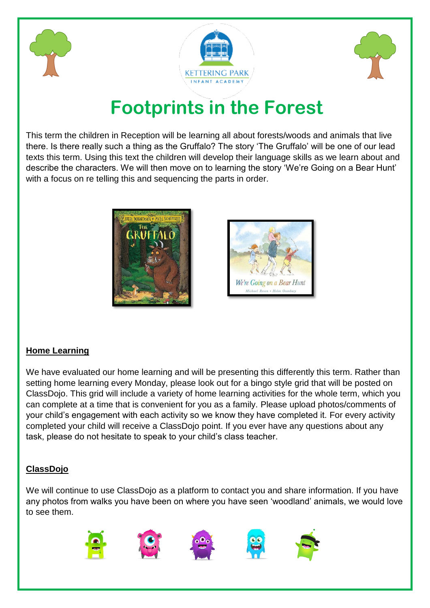





# **Footpri[nts in the](https://www.google.com/url?sa=i&url=https://ketteringparkinfantacademy.co.uk/&psig=AOvVaw2U22HDxA6u1kKi41sDhnM8&ust=1599289020382000&source=images&cd=vfe&ved=0CAIQjRxqFwoTCJDwpfT1zusCFQAAAAAdAAAAABAN) Forest**

This term the children in Reception will be learning all about forests/woods and animals that live there. Is there really such a thing as the Gruffalo? The story 'The Gruffalo' will be one of our lead texts this term. Using this text the children will develop their language skills as we learn about and describe the characters. We will then move on to learning the story 'We're Going on a Bear Hunt' with a focus on re telling this and sequencing the parts in order.





# **Home Learning**

We have evaluated our home learning and will be presenting this differently this term. Rather than setting home learning every Monday, please look out for a bingo style grid that will be posted on ClassDojo. This grid will include a variety of home learning activities for the whole term, which you can complete at a time that is convenient for you as a family. Please upload photos/comments of your child's engagement with each activity so we know they have completed it. For every activity completed your child will receive a ClassDojo point. If you ever have any questions about any task, please do not hesitate to speak to your child's class teacher.

# **ClassDojo**

We will continue to use ClassDojo as a platform to contact you and share information. If you have any photos from walks you have been on where you have seen 'woodland' animals, we would love to see them.